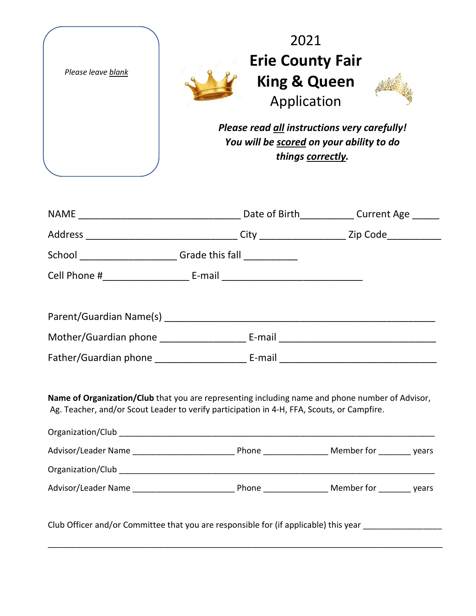| Please leave blank                                                                                                                                                                                                                                                                                                                                                                                                              | 2021<br><b>Erie County Fair</b><br><b>King &amp; Queen</b><br>Application<br>Please read all instructions very carefully!<br>You will be scored on your ability to do<br>things correctly. |  |  |
|---------------------------------------------------------------------------------------------------------------------------------------------------------------------------------------------------------------------------------------------------------------------------------------------------------------------------------------------------------------------------------------------------------------------------------|--------------------------------------------------------------------------------------------------------------------------------------------------------------------------------------------|--|--|
|                                                                                                                                                                                                                                                                                                                                                                                                                                 |                                                                                                                                                                                            |  |  |
|                                                                                                                                                                                                                                                                                                                                                                                                                                 |                                                                                                                                                                                            |  |  |
| School ________________________Grade this fall _____________                                                                                                                                                                                                                                                                                                                                                                    |                                                                                                                                                                                            |  |  |
| Cell Phone #_________________________________E-mail _____________________________                                                                                                                                                                                                                                                                                                                                               |                                                                                                                                                                                            |  |  |
|                                                                                                                                                                                                                                                                                                                                                                                                                                 |                                                                                                                                                                                            |  |  |
| Name of Organization/Club that you are representing including name and phone number of Advisor,<br>Ag. Teacher, and/or Scout Leader to verify participation in 4-H, FFA, Scouts, or Campfire.<br>Organization/Club entertainment and the contract of the contract of the contract of the contract of the contract of the contract of the contract of the contract of the contract of the contract of the contract of the contra |                                                                                                                                                                                            |  |  |
|                                                                                                                                                                                                                                                                                                                                                                                                                                 |                                                                                                                                                                                            |  |  |
|                                                                                                                                                                                                                                                                                                                                                                                                                                 |                                                                                                                                                                                            |  |  |
|                                                                                                                                                                                                                                                                                                                                                                                                                                 |                                                                                                                                                                                            |  |  |
| Club Officer and/or Committee that you are responsible for (if applicable) this year _______________                                                                                                                                                                                                                                                                                                                            |                                                                                                                                                                                            |  |  |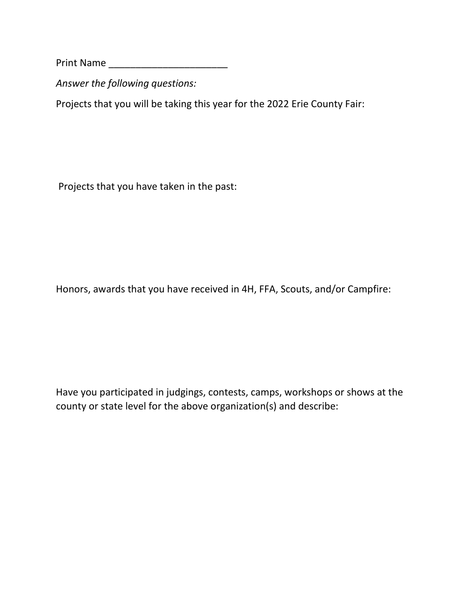Print Name \_\_\_\_\_\_\_\_\_\_\_\_\_\_\_\_\_\_\_\_\_\_

*Answer the following questions:* 

Projects that you will be taking this year for the 2022 Erie County Fair:

Projects that you have taken in the past:

Honors, awards that you have received in 4H, FFA, Scouts, and/or Campfire:

Have you participated in judgings, contests, camps, workshops or shows at the county or state level for the above organization(s) and describe: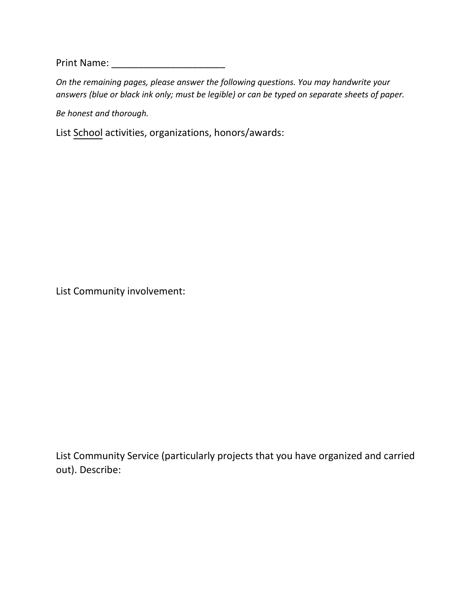Print Name: \_\_\_\_\_\_\_\_\_\_\_\_\_\_\_\_\_\_\_\_\_

*On the remaining pages, please answer the following questions. You may handwrite your answers (blue or black ink only; must be legible) or can be typed on separate sheets of paper.* 

*Be honest and thorough.* 

List School activities, organizations, honors/awards:

List Community involvement:

List Community Service (particularly projects that you have organized and carried out). Describe: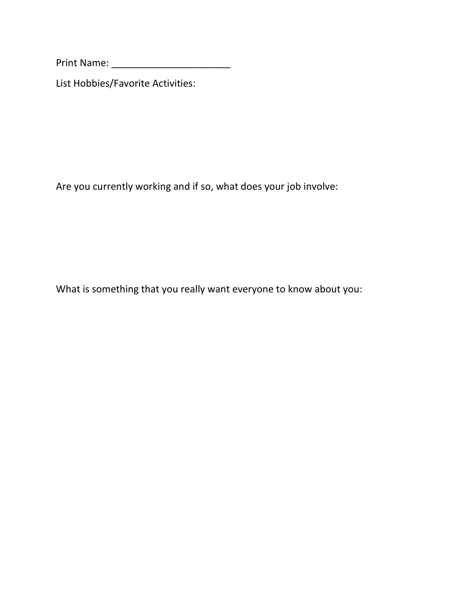Print Name: \_\_\_\_\_\_\_\_\_\_\_\_\_\_\_\_\_\_\_\_\_\_

List Hobbies/Favorite Activities:

Are you currently working and if so, what does your job involve:

What is something that you really want everyone to know about you: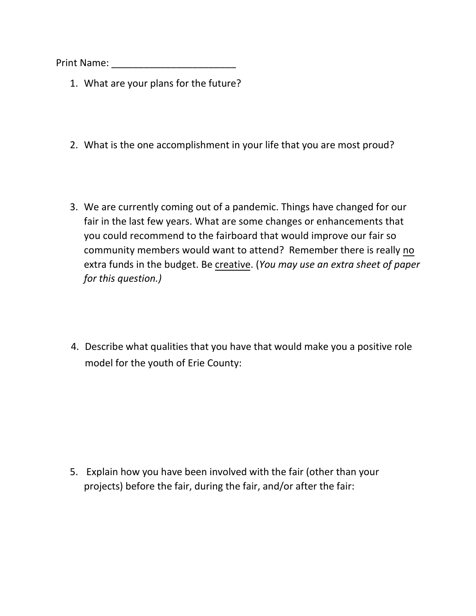Print Name: \_\_\_\_\_\_\_\_\_\_\_\_\_\_\_\_\_\_\_\_\_\_\_

- 1. What are your plans for the future?
- 2. What is the one accomplishment in your life that you are most proud?
- 3. We are currently coming out of a pandemic. Things have changed for our fair in the last few years. What are some changes or enhancements that you could recommend to the fairboard that would improve our fair so community members would want to attend? Remember there is really no extra funds in the budget. Be creative. (You may use an extra sheet of paper *for this question.)*
- 4. Describe what qualities that you have that would make you a positive role model for the youth of Erie County:

5. Explain how you have been involved with the fair (other than your projects) before the fair, during the fair, and/or after the fair: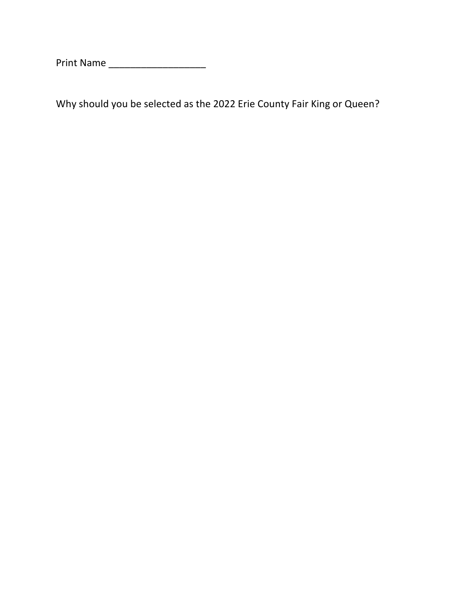Print Name \_\_\_\_\_\_\_\_\_\_\_\_\_\_\_\_\_\_

Why should you be selected as the 2022 Erie County Fair King or Queen?